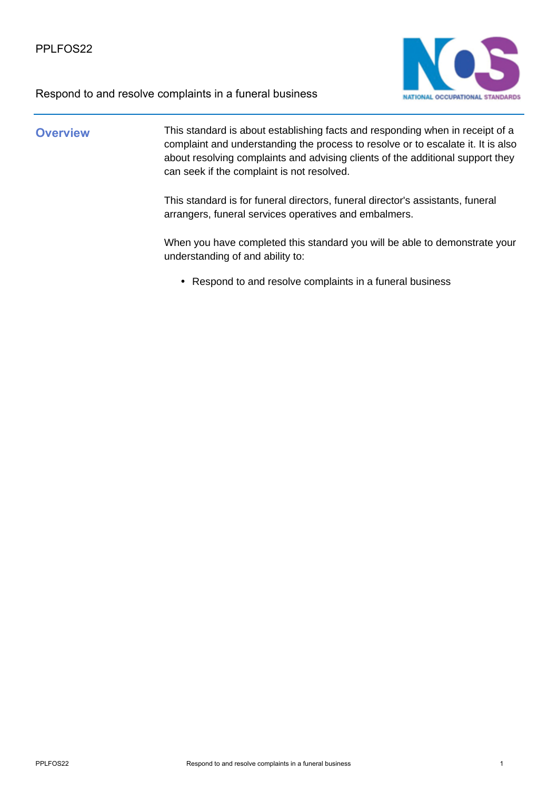

### **Overview** This standard is about establishing facts and responding when in receipt of a complaint and understanding the process to resolve or to escalate it. It is also about resolving complaints and advising clients of the additional support they can seek if the complaint is not resolved.

This standard is for funeral directors, funeral director's assistants, funeral arrangers, funeral services operatives and embalmers.

When you have completed this standard you will be able to demonstrate your understanding of and ability to:

• Respond to and resolve complaints in a funeral business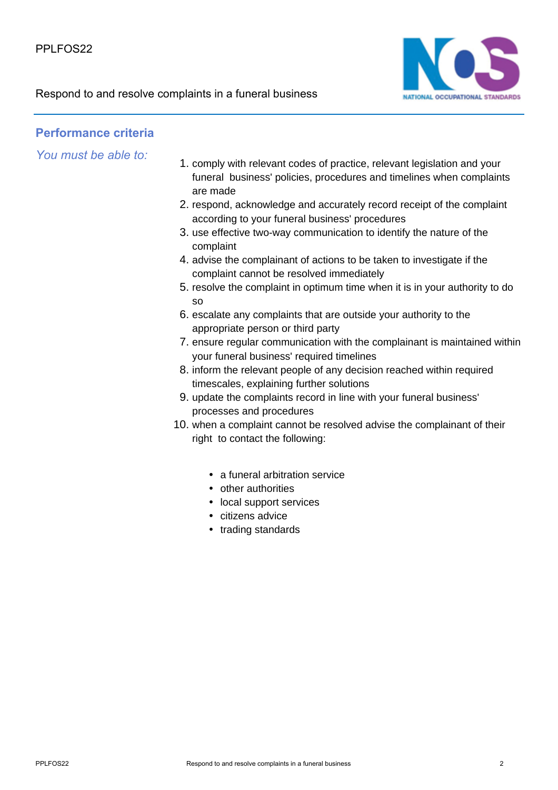

### **Performance criteria**

*You must be able to:*

- 1. comply with relevant codes of practice, relevant legislation and your funeral business' policies, procedures and timelines when complaints are made
- 2. respond, acknowledge and accurately record receipt of the complaint according to your funeral business' procedures
- 3. use effective two-way communication to identify the nature of the complaint
- 4. advise the complainant of actions to be taken to investigate if the complaint cannot be resolved immediately
- 5. resolve the complaint in optimum time when it is in your authority to do so
- 6. escalate any complaints that are outside your authority to the appropriate person or third party
- 7. ensure regular communication with the complainant is maintained within your funeral business' required timelines
- 8. inform the relevant people of any decision reached within required timescales, explaining further solutions
- 9. update the complaints record in line with your funeral business' processes and procedures
- 10. when a complaint cannot be resolved advise the complainant of their right to contact the following:
	- a funeral arbitration service
	- other authorities
	- local support services
	- citizens advice
	- trading standards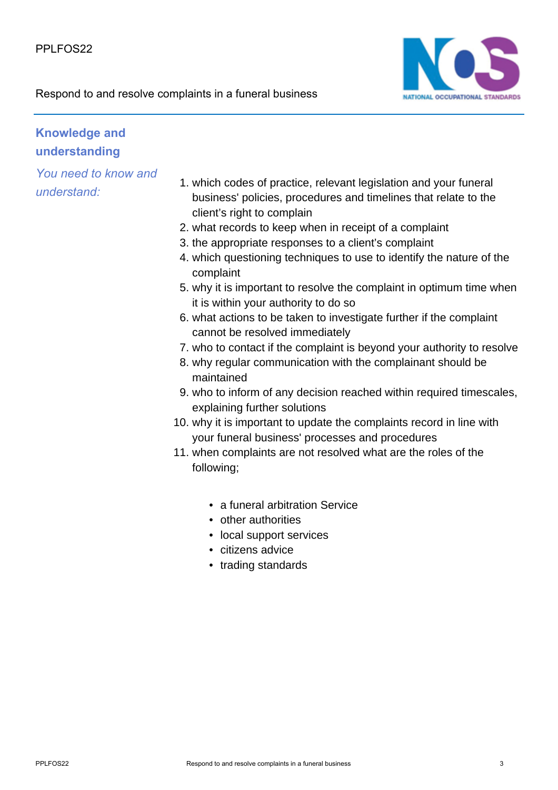



## **Knowledge and understanding**

*You need to know and understand:*

- 1. which codes of practice, relevant legislation and your funeral business' policies, procedures and timelines that relate to the client's right to complain
- 2. what records to keep when in receipt of a complaint
- 3. the appropriate responses to a client's complaint
- which questioning techniques to use to identify the nature of the 4. complaint
- 5. why it is important to resolve the complaint in optimum time when it is within your authority to do so
- 6. what actions to be taken to investigate further if the complaint cannot be resolved immediately
- 7. who to contact if the complaint is beyond your authority to resolve
- 8. why regular communication with the complainant should be maintained
- 9. who to inform of any decision reached within required timescales, explaining further solutions
- 10. why it is important to update the complaints record in line with your funeral business' processes and procedures
- 11. when complaints are not resolved what are the roles of the following;
	- a funeral arbitration Service
	- other authorities
	- local support services
	- citizens advice
	- trading standards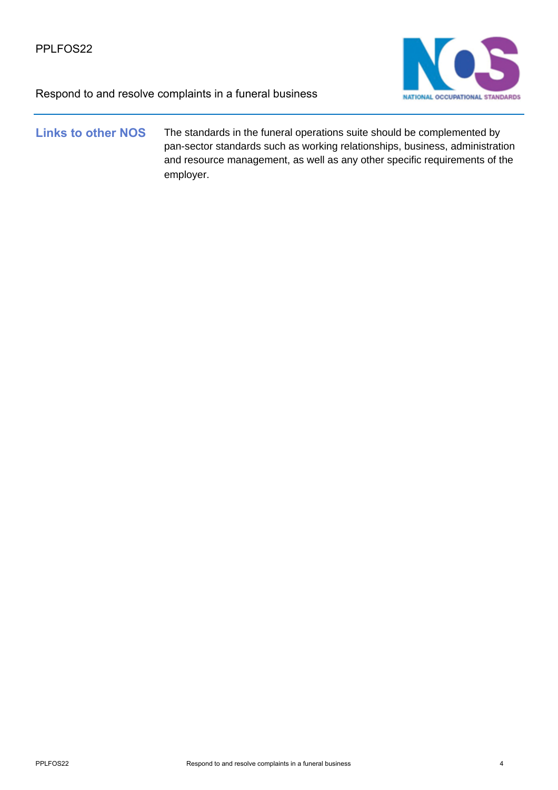

### Links to other NOS The standards in the funeral operations suite should be complemented by pan-sector standards such as working relationships, business, administration and resource management, as well as any other specific requirements of the employer.